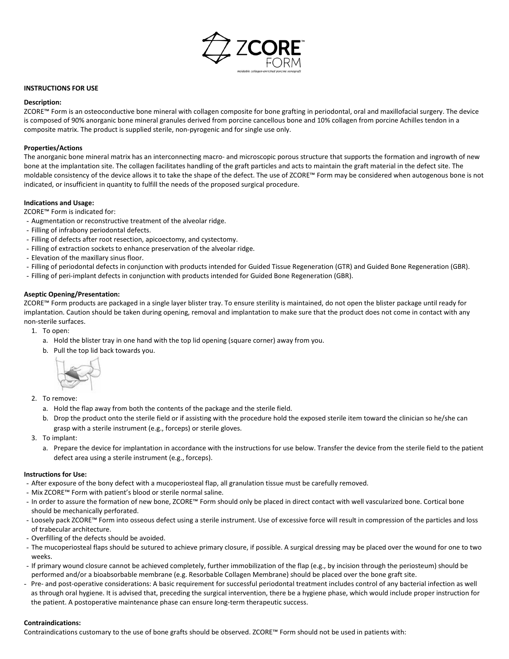

# **INSTRUCTIONS FOR USE**

#### **Description:**

ZCORE™ Form is an osteoconductive bone mineral with collagen composite for bone grafting in periodontal, oral and maxillofacial surgery. The device is composed of 90% anorganic bone mineral granules derived from porcine cancellous bone and 10% collagen from porcine Achilles tendon in a composite matrix. The product is supplied sterile, non-pyrogenic and for single use only.

# **Properties/Actions**

The anorganic bone mineral matrix has an interconnecting macro- and microscopic porous structure that supports the formation and ingrowth of new bone at the implantation site. The collagen facilitates handling of the graft particles and acts to maintain the graft material in the defect site. The moldable consistency of the device allows it to take the shape of the defect. The use of ZCORE™ Form may be considered when autogenous bone is not indicated, or insufficient in quantity to fulfill the needs of the proposed surgical procedure.

# **Indications and Usage:**

ZCORE™ Form is indicated for:

- Augmentation or reconstructive treatment of the alveolar ridge.
- Filling of infrabony periodontal defects.
- Filling of defects after root resection, apicoectomy, and cystectomy.
- Filling of extraction sockets to enhance preservation of the alveolar ridge.
- Elevation of the maxillary sinus floor.
- Filling of periodontal defects in conjunction with products intended for Guided Tissue Regeneration (GTR) and Guided Bone Regeneration (GBR).
- Filling of peri-implant defects in conjunction with products intended for Guided Bone Regeneration (GBR).

# **Aseptic Opening/Presentation:**

ZCORE™ Form products are packaged in a single layer blister tray. To ensure sterility is maintained, do not open the blister package until ready for implantation. Caution should be taken during opening, removal and implantation to make sure that the product does not come in contact with any non-sterile surfaces.

- 1. To open:
	- a. Hold the blister tray in one hand with the top lid opening (square corner) away from you.
	- b. Pull the top lid back towards you.



- 2. To remove:
	- a. Hold the flap away from both the contents of the package and the sterile field.
	- b. Drop the product onto the sterile field or if assisting with the procedure hold the exposed sterile item toward the clinician so he/she can grasp with a sterile instrument (e.g., forceps) or sterile gloves.
- 3. To implant:
	- a. Prepare the device for implantation in accordance with the instructions for use below. Transfer the device from the sterile field to the patient defect area using a sterile instrument (e.g., forceps).

#### **Instructions for Use:**

- After exposure of the bony defect with a mucoperiosteal flap, all granulation tissue must be carefully removed.
- Mix ZCORE™ Form with patient's blood or sterile normal saline.
- In order to assure the formation of new bone, ZCORE™ Form should only be placed in direct contact with well vascularized bone. Cortical bone should be mechanically perforated.
- Loosely pack ZCORE™ Form into osseous defect using a sterile instrument. Use of excessive force will result in compression of the particles and loss of trabecular architecture.
- Overfilling of the defects should be avoided.
- The mucoperiosteal flaps should be sutured to achieve primary closure, if possible. A surgical dressing may be placed over the wound for one to two weeks.
- If primary wound closure cannot be achieved completely, further immobilization of the flap (e.g., by incision through the periosteum) should be performed and/or a bioabsorbable membrane (e.g. Resorbable Collagen Membrane) should be placed over the bone graft site.
- Pre- and post-operative considerations: A basic requirement for successful periodontal treatment includes control of any bacterial infection as well as through oral hygiene. It is advised that, preceding the surgical intervention, there be a hygiene phase, which would include proper instruction for the patient. A postoperative maintenance phase can ensure long-term therapeutic success.

# **Contraindications:**

Contraindications customary to the use of bone grafts should be observed. ZCORE™ Form should not be used in patients with: